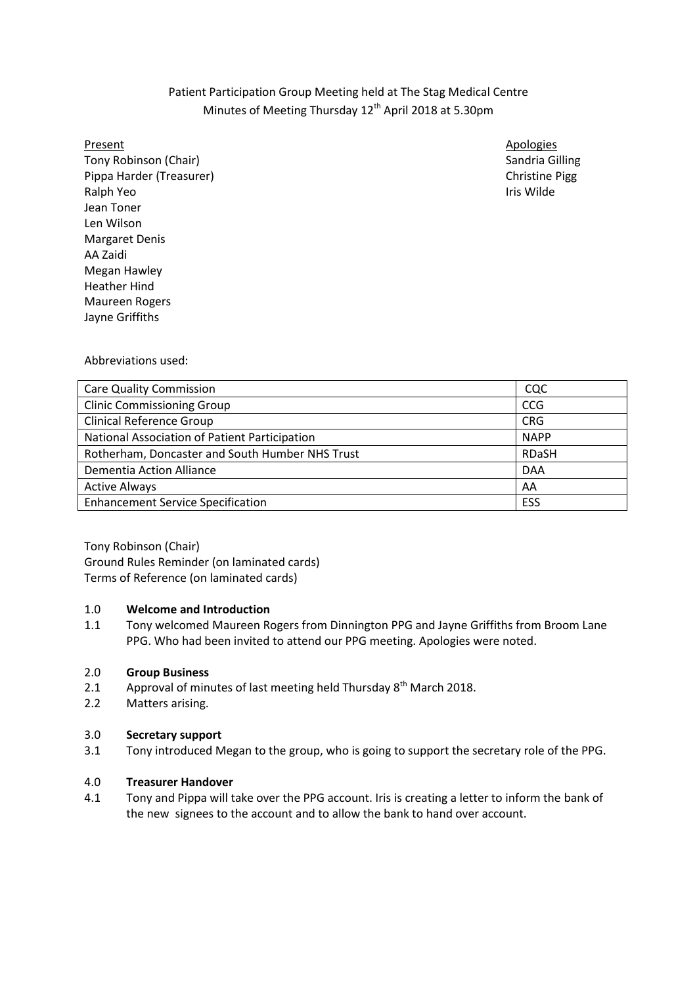# Patient Participation Group Meeting held at The Stag Medical Centre Minutes of Meeting Thursday 12<sup>th</sup> April 2018 at 5.30pm

Tony Robinson (Chair) Sandria Gilling Sandria Gilling Sandria Gilling Sandria Gilling Pippa Harder (Treasurer) Christine Pigg Ralph Yeo **Iris Wilde** Jean Toner Len Wilson Margaret Denis AA Zaidi Megan Hawley Heather Hind Maureen Rogers Jayne Griffiths

Present Apologies Apologies Apologies Apologies Apologies Apologies Apologies Apologies Apologies Apologies Apologies

Abbreviations used:

| <b>Care Quality Commission</b>                  | CQC          |
|-------------------------------------------------|--------------|
| <b>Clinic Commissioning Group</b>               | <b>CCG</b>   |
| <b>Clinical Reference Group</b>                 | <b>CRG</b>   |
| National Association of Patient Participation   | <b>NAPP</b>  |
| Rotherham, Doncaster and South Humber NHS Trust | <b>RDaSH</b> |
| Dementia Action Alliance                        | <b>DAA</b>   |
| <b>Active Always</b>                            | AA           |
| <b>Enhancement Service Specification</b>        | ESS          |

Tony Robinson (Chair) Ground Rules Reminder (on laminated cards) Terms of Reference (on laminated cards)

### 1.0 **Welcome and Introduction**

1.1 Tony welcomed Maureen Rogers from Dinnington PPG and Jayne Griffiths from Broom Lane PPG. Who had been invited to attend our PPG meeting. Apologies were noted.

## 2.0 **Group Business**

- 2.1 Approval of minutes of last meeting held Thursday 8<sup>th</sup> March 2018.
- 2.2 Matters arising.

## 3.0 **Secretary support**

3.1 Tony introduced Megan to the group, who is going to support the secretary role of the PPG.

### 4.0 **Treasurer Handover**

4.1 Tony and Pippa will take over the PPG account. Iris is creating a letter to inform the bank of the new signees to the account and to allow the bank to hand over account.